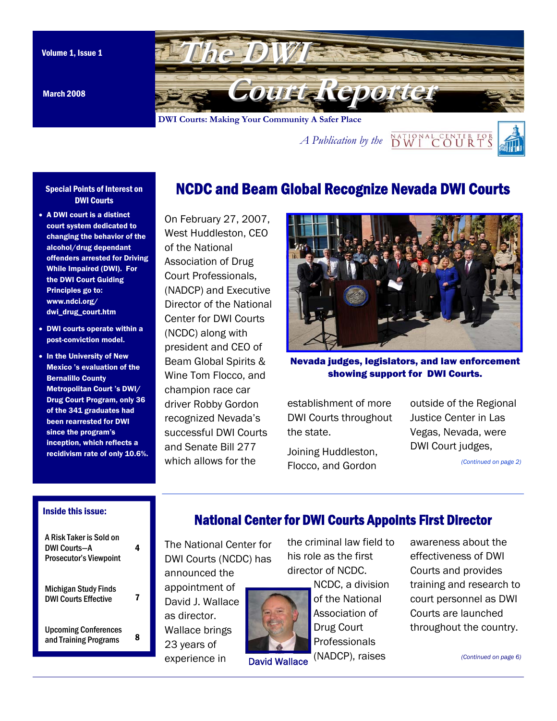

March 2008

### Special Points of Interest on DWI Courts

- A DWI court is a distinct court system dedicated to changing the behavior of the alcohol/drug dependant offenders arrested for Driving While Impaired (DWI). For the DWI Court Guiding Principles go to: www.ndci.org/ dwi\_drug\_court.htm
- DWI courts operate within a post-conviction model.
- In the University of New Mexico 's evaluation of the Bernalillo County Metropolitan Court 's DWI/ Drug Court Program, only 36 of the 341 graduates had been rearrested for DWI since the program's inception, which reflects a recidivism rate of only 10.6%.

On February 27, 2007, West Huddleston, CEO of the National Association of Drug Court Professionals, (NADCP) and Executive Director of the National Center for DWI Courts (NCDC) along with president and CEO of Beam Global Spirits & Wine Tom Flocco, and champion race car driver Robby Gordon recognized Nevada's successful DWI Courts and Senate Bill 277 which allows for the

# NCDC and Beam Global Recognize Nevada DWI Courts



Nevada judges, legislators, and law enforcement showing support for DWI Courts.

establishment of more DWI Courts throughout the state.

Joining Huddleston, Flocco, and Gordon

outside of the Regional Justice Center in Las Vegas, Nevada, were DWI Court judges,

*(Continued on page 2)* 

## Inside this issue:

| A Risk Taker is Sold on<br><b>DWI Courts-A</b><br><b>Prosecutor's Viewpoint</b> |   |
|---------------------------------------------------------------------------------|---|
| Michigan Study Finds<br><b>DWI Courts Effective</b>                             |   |
| <b>Upcoming Conferences</b><br>and Training Programs                            | я |

## National Center for DWI Courts Appoints First Director

The National Center for DWI Courts (NCDC) has announced the

appointment of David J. Wallace as director. Wallace brings 23 years of experience in



David Wallace

the criminal law field to his role as the first director of NCDC.

NCDC, a division of the National Association of Drug Court Professionals (NADCP), raises

awareness about the effectiveness of DWI Courts and provides training and research to court personnel as DWI Courts are launched throughout the country.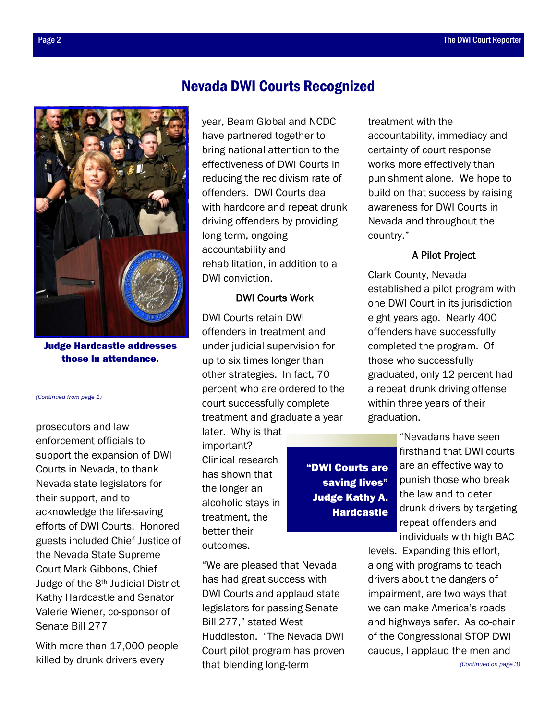

Judge Hardcastle addresses those in attendance.

#### *(Continued from page 1)*

prosecutors and law enforcement officials to support the expansion of DWI Courts in Nevada, to thank Nevada state legislators for their support, and to acknowledge the life-saving efforts of DWI Courts. Honored guests included Chief Justice of the Nevada State Supreme Court Mark Gibbons, Chief Judge of the 8th Judicial District Kathy Hardcastle and Senator Valerie Wiener, co-sponsor of Senate Bill 277

With more than 17,000 people killed by drunk drivers every

# Nevada DWI Courts Recognized

year, Beam Global and NCDC have partnered together to bring national attention to the effectiveness of DWI Courts in reducing the recidivism rate of offenders. DWI Courts deal with hardcore and repeat drunk driving offenders by providing long-term, ongoing accountability and rehabilitation, in addition to a DWI conviction.

## DWI Courts Work

DWI Courts retain DWI offenders in treatment and under judicial supervision for up to six times longer than other strategies. In fact, 70 percent who are ordered to the court successfully complete treatment and graduate a year

later. Why is that important? Clinical research has shown that the longer an alcoholic stays in treatment, the better their outcomes.

"We are pleased that Nevada has had great success with DWI Courts and applaud state legislators for passing Senate Bill 277," stated West Huddleston. "The Nevada DWI Court pilot program has proven that blending long-term

treatment with the accountability, immediacy and certainty of court response works more effectively than punishment alone. We hope to build on that success by raising awareness for DWI Courts in Nevada and throughout the country."

## A Pilot Project

Clark County, Nevada established a pilot program with one DWI Court in its jurisdiction eight years ago. Nearly 400 offenders have successfully completed the program. Of those who successfully graduated, only 12 percent had a repeat drunk driving offense within three years of their graduation.

"DWI Courts are saving lives" Judge Kathy A. Hardcastle

"Nevadans have seen firsthand that DWI courts are an effective way to punish those who break the law and to deter drunk drivers by targeting repeat offenders and individuals with high BAC

levels. Expanding this effort, along with programs to teach drivers about the dangers of impairment, are two ways that we can make America's roads and highways safer. As co-chair of the Congressional STOP DWI caucus, I applaud the men and

*(Continued on page 3)*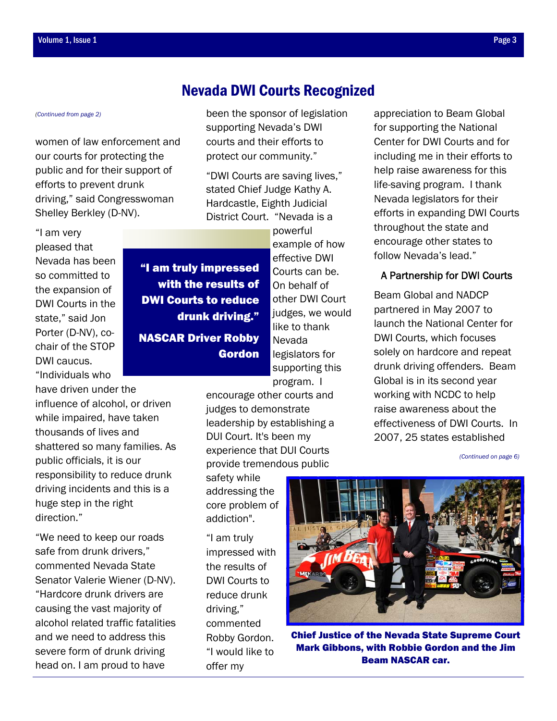women of law enforcement and our courts for protecting the public and for their support of efforts to prevent drunk driving," said Congresswoman Shelley Berkley (D-NV).

"I am very pleased that Nevada has been so committed to the expansion of DWI Courts in the state," said Jon Porter (D-NV), cochair of the STOP DWI caucus. "Individuals who

have driven under the influence of alcohol, or driven while impaired, have taken thousands of lives and shattered so many families. As public officials, it is our responsibility to reduce drunk driving incidents and this is a huge step in the right direction."

"We need to keep our roads safe from drunk drivers," commented Nevada State Senator Valerie Wiener (D-NV). "Hardcore drunk drivers are causing the vast majority of alcohol related traffic fatalities and we need to address this severe form of drunk driving head on. I am proud to have

# *(Continued from page 2)* been the sponsor of legislation Nevada DWI Courts Recognized

supporting Nevada's DWI courts and their efforts to protect our community."

"DWI Courts are saving lives," stated Chief Judge Kathy A. Hardcastle, Eighth Judicial District Court. "Nevada is a

powerful example of how effective DWI Courts can be. On behalf of other DWI Court judges, we would like to thank Nevada legislators for supporting this program. I "I am truly impressed with the results of DWI Courts to reduce drunk driving." NASCAR Driver Robby Gordon

encourage other courts and judges to demonstrate leadership by establishing a DUI Court. It's been my experience that DUI Courts provide tremendous public

safety while addressing the core problem of addiction".

"I am truly impressed with the results of DWI Courts to reduce drunk driving," commented Robby Gordon. "I would like to offer my

appreciation to Beam Global for supporting the National Center for DWI Courts and for including me in their efforts to help raise awareness for this life-saving program. I thank Nevada legislators for their efforts in expanding DWI Courts throughout the state and encourage other states to follow Nevada's lead."

## A Partnership for DWI Courts

Beam Global and NADCP partnered in May 2007 to launch the National Center for DWI Courts, which focuses solely on hardcore and repeat drunk driving offenders. Beam Global is in its second year working with NCDC to help raise awareness about the effectiveness of DWI Courts. In 2007, 25 states established

*(Continued on page 6)* 



Chief Justice of the Nevada State Supreme Court Mark Gibbons, with Robbie Gordon and the Jim Beam NASCAR car.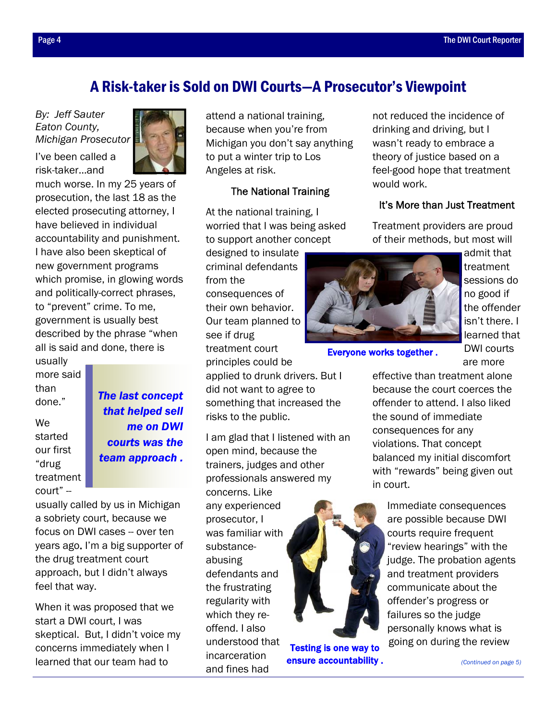# A Risk-taker is Sold on DWI Courts—A Prosecutor's Viewpoint

*By: Jeff Sauter Eaton County, Michigan Prosecutor*

I've been called a risk-taker…and



much worse. In my 25 years of prosecution, the last 18 as the elected prosecuting attorney, I have believed in individual accountability and punishment. I have also been skeptical of new government programs which promise, in glowing words and politically-correct phrases, to "prevent" crime. To me, government is usually best described by the phrase "when all is said and done, there is

usually more said than done."

We started our first "drug treatment court" --

*The last concept that helped sell me on DWI courts was the team approach .* 

usually called by us in Michigan a sobriety court, because we focus on DWI cases -- over ten years ago. I'm a big supporter of the drug treatment court approach, but I didn't always feel that way.

When it was proposed that we start a DWI court, I was skeptical. But, I didn't voice my concerns immediately when I learned that our team had to

attend a national training, because when you're from Michigan you don't say anything to put a winter trip to Los Angeles at risk.

## The National Training

At the national training, I worried that I was being asked to support another concept

designed to insulate criminal defendants from the consequences of their own behavior. Our team planned to see if drug treatment court principles could be

applied to drunk drivers. But I did not want to agree to something that increased the risks to the public.

I am glad that I listened with an open mind, because the trainers, judges and other professionals answered my concerns. Like any experienced prosecutor, I was familiar with substanceabusing defendants and the frustrating regularity with which they reoffend. I also understood that incarceration and fines had



Testing is one way to ensure accountability .

not reduced the incidence of drinking and driving, but I wasn't ready to embrace a theory of justice based on a feel-good hope that treatment would work.

## It's More than Just Treatment

Treatment providers are proud of their methods, but most will



Everyone works together .

admit that treatment sessions do no good if the offender isn't there. I learned that DWI courts are more

effective than treatment alone because the court coerces the offender to attend. I also liked the sound of immediate consequences for any violations. That concept balanced my initial discomfort with "rewards" being given out in court.

Immediate consequences are possible because DWI courts require frequent "review hearings" with the judge. The probation agents and treatment providers communicate about the offender's progress or failures so the judge personally knows what is going on during the review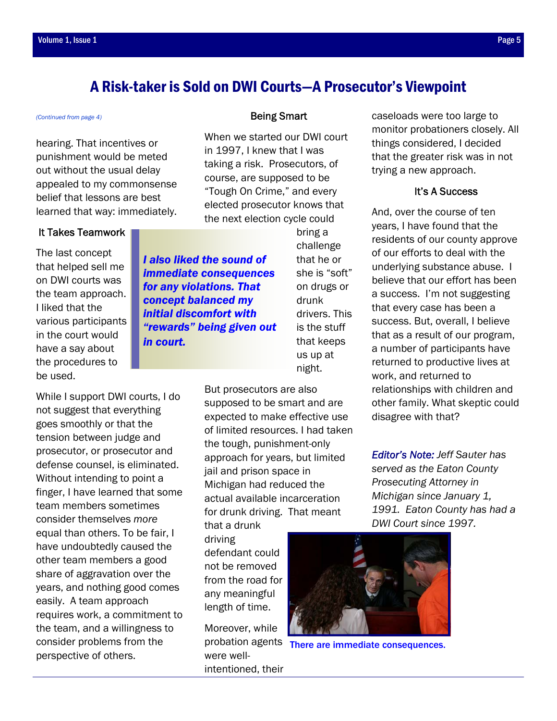# A Risk-taker is Sold on DWI Courts—A Prosecutor's Viewpoint

When we started our DWI court

bring a challenge that he or she is "soft" on drugs or

drunk

drivers. This is the stuff that keeps

in 1997, I knew that I was taking a risk. Prosecutors, of course, are supposed to be "Tough On Crime," and every elected prosecutor knows that the next election cycle could

## *(Continued from page 4)* **Being Smart**

hearing. That incentives or punishment would be meted out without the usual delay appealed to my commonsense belief that lessons are best learned that way: immediately.

## It Takes Teamwork

The last concept that helped sell me on DWI courts was the team approach. I liked that the various participants in the court would have a say about the procedures to be used.

While I support DWI courts, I do not suggest that everything goes smoothly or that the tension between judge and prosecutor, or prosecutor and defense counsel, is eliminated. Without intending to point a finger, I have learned that some team members sometimes consider themselves *more* equal than others. To be fair, I have undoubtedly caused the other team members a good share of aggravation over the years, and nothing good comes easily. A team approach requires work, a commitment to the team, and a willingness to consider problems from the perspective of others.

*I also liked the sound of immediate consequences for any violations. That concept balanced my initial discomfort with "rewards" being given out in court.* 

> us up at night. But prosecutors are also supposed to be smart and are expected to make effective use of limited resources. I had taken the tough, punishment-only approach for years, but limited jail and prison space in Michigan had reduced the actual available incarceration for drunk driving. That meant

that a drunk driving defendant could not be removed from the road for any meaningful length of time.

Moreover, while were wellintentioned, their caseloads were too large to monitor probationers closely. All things considered, I decided that the greater risk was in not trying a new approach.

## It's A Success

And, over the course of ten years, I have found that the residents of our county approve of our efforts to deal with the underlying substance abuse. I believe that our effort has been a success. I'm not suggesting that every case has been a success. But, overall, I believe that as a result of our program, a number of participants have returned to productive lives at work, and returned to relationships with children and other family. What skeptic could disagree with that?

*Editor's Note: Jeff Sauter has served as the Eaton County Prosecuting Attorney in Michigan since January 1, 1991. Eaton County has had a DWI Court since 1997.* 



probation agents There are immediate consequences.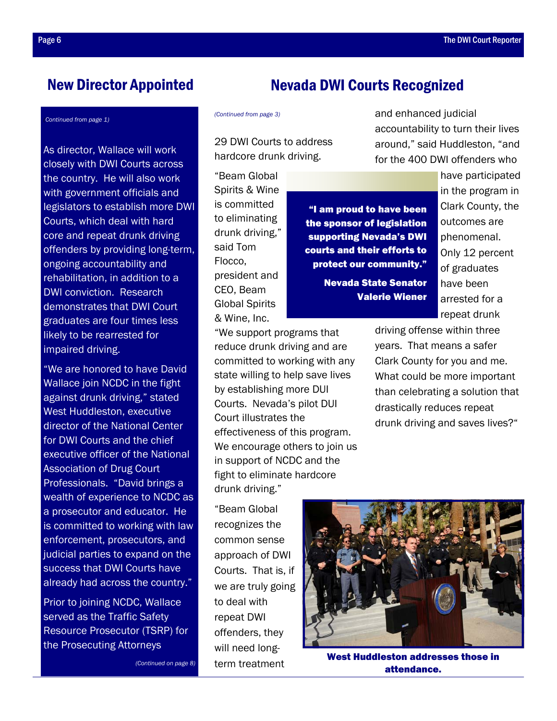## New Director Appointed

#### *(Continued from page 1)*

As director, Wallace will work closely with DWI Courts across the country. He will also work with government officials and legislators to establish more DWI Courts, which deal with hard core and repeat drunk driving offenders by providing long-term, ongoing accountability and rehabilitation, in addition to a DWI conviction. Research demonstrates that DWI Court graduates are four times less likely to be rearrested for impaired driving.

"We are honored to have David Wallace join NCDC in the fight against drunk driving," stated West Huddleston, executive director of the National Center for DWI Courts and the chief executive officer of the National Association of Drug Court Professionals. "David brings a wealth of experience to NCDC as a prosecutor and educator. He is committed to working with law enforcement, prosecutors, and judicial parties to expand on the success that DWI Courts have already had across the country."

Prior to joining NCDC, Wallace served as the Traffic Safety Resource Prosecutor (TSRP) for the Prosecuting Attorneys

*(Continued on page 8)* 

# Nevada DWI Courts Recognized

29 DWI Courts to address hardcore drunk driving.

"Beam Global Spirits & Wine is committed to eliminating drunk driving," said Tom Flocco, president and CEO, Beam Global Spirits & Wine, Inc.

"I am proud to have been the sponsor of legislation supporting Nevada's DWI courts and their efforts to protect our community."

> Nevada State Senator Valerie Wiener

*(Continued from page 3)* and enhanced judicial accountability to turn their lives around," said Huddleston, "and for the 400 DWI offenders who

> have participated in the program in Clark County, the outcomes are phenomenal. Only 12 percent of graduates have been arrested for a repeat drunk

driving offense within three years. That means a safer Clark County for you and me. What could be more important than celebrating a solution that drastically reduces repeat drunk driving and saves lives?"

"We support programs that reduce drunk driving and are committed to working with any state willing to help save lives by establishing more DUI Courts. Nevada's pilot DUI Court illustrates the effectiveness of this program. We encourage others to join us in support of NCDC and the fight to eliminate hardcore drunk driving."

"Beam Global recognizes the common sense approach of DWI Courts. That is, if we are truly going to deal with repeat DWI offenders, they will need longterm treatment



West Huddleston addresses those in attendance.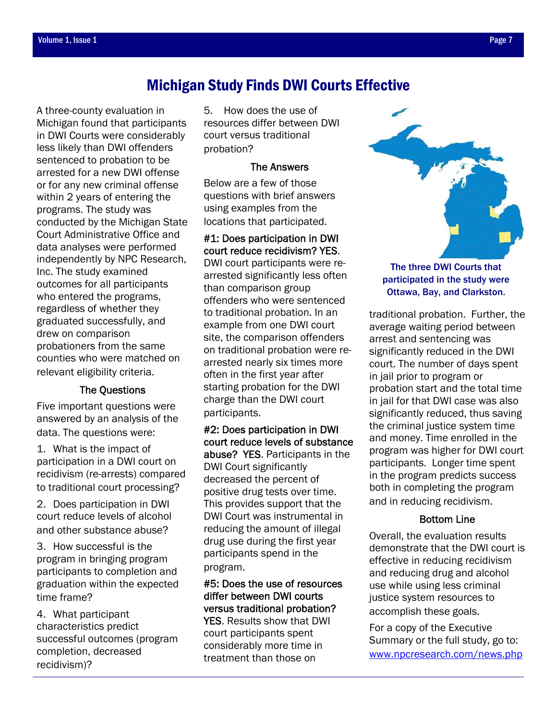# Michigan Study Finds DWI Courts Effective

A three-county evaluation in Michigan found that participants in DWI Courts were considerably less likely than DWI offenders sentenced to probation to be arrested for a new DWI offense or for any new criminal offense within 2 years of entering the programs. The study was conducted by the Michigan State Court Administrative Office and data analyses were performed independently by NPC Research, Inc. The study examined outcomes for all participants who entered the programs, regardless of whether they graduated successfully, and drew on comparison probationers from the same counties who were matched on relevant eligibility criteria.

## The Questions

Five important questions were answered by an analysis of the data. The questions were:

1. What is the impact of participation in a DWI court on recidivism (re-arrests) compared to traditional court processing?

2. Does participation in DWI court reduce levels of alcohol and other substance abuse?

3. How successful is the program in bringing program participants to completion and graduation within the expected time frame?

4. What participant characteristics predict successful outcomes (program completion, decreased recidivism)?

5. How does the use of resources differ between DWI court versus traditional probation?

## The Answers

Below are a few of those questions with brief answers using examples from the locations that participated.

## #1: Does participation in DWI court reduce recidivism? YES.

DWI court participants were rearrested significantly less often than comparison group offenders who were sentenced to traditional probation. In an example from one DWI court site, the comparison offenders on traditional probation were rearrested nearly six times more often in the first year after starting probation for the DWI charge than the DWI court participants.

#2: Does participation in DWI court reduce levels of substance abuse? YES. Participants in the DWI Court significantly decreased the percent of positive drug tests over time. This provides support that the DWI Court was instrumental in reducing the amount of illegal drug use during the first year participants spend in the program.

## #5: Does the use of resources differ between DWI courts versus traditional probation?

YES. Results show that DWI court participants spent considerably more time in treatment than those on



Ottawa, Bay, and Clarkston.

traditional probation. Further, the average waiting period between arrest and sentencing was significantly reduced in the DWI court. The number of days spent in jail prior to program or probation start and the total time in jail for that DWI case was also significantly reduced, thus saving the criminal justice system time and money. Time enrolled in the program was higher for DWI court participants. Longer time spent in the program predicts success both in completing the program and in reducing recidivism.

## Bottom Line

Overall, the evaluation results demonstrate that the DWI court is effective in reducing recidivism and reducing drug and alcohol use while using less criminal justice system resources to accomplish these goals.

For a copy of the Executive Summary or the full study, go to: www.npcresearch.com/news.php